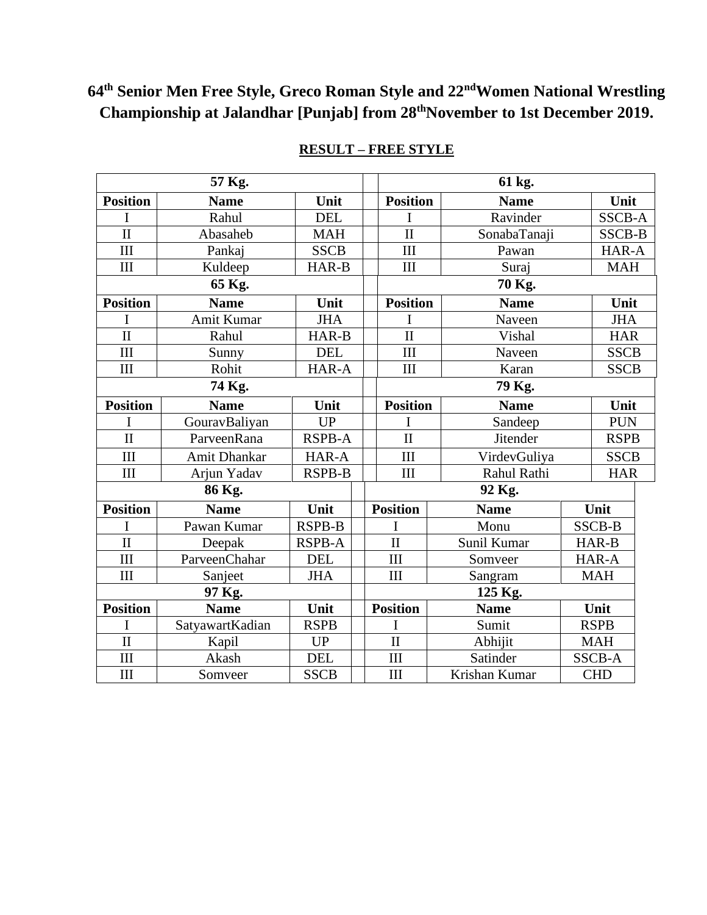# **64th Senior Men Free Style, Greco Roman Style and 22ndWomen National Wrestling Championship at Jalandhar [Punjab] from 28thNovember to 1st December 2019.**

| 57 Kg.                  |                 |               |  | 61 kg.                  |               |               |               |             |  |
|-------------------------|-----------------|---------------|--|-------------------------|---------------|---------------|---------------|-------------|--|
| <b>Position</b>         | <b>Name</b>     | Unit          |  | <b>Position</b>         | <b>Name</b>   |               | Unit          |             |  |
| Ι                       | Rahul           | <b>DEL</b>    |  | I                       | Ravinder      |               | SSCB-A        |             |  |
| $\mathbf{I}$            | Abasaheb        | <b>MAH</b>    |  | $\mathbf{I}$            | SonabaTanaji  |               | <b>SSCB-B</b> |             |  |
| III                     | Pankaj          | <b>SSCB</b>   |  | III                     | Pawan         |               | HAR-A         |             |  |
| III                     | Kuldeep         | HAR-B         |  | III                     | Suraj         |               | <b>MAH</b>    |             |  |
| 65 Kg.                  |                 |               |  | 70 Kg.                  |               |               |               |             |  |
| <b>Position</b>         | <b>Name</b>     | Unit          |  | <b>Position</b>         | <b>Name</b>   |               | Unit          |             |  |
| I                       | Amit Kumar      | <b>JHA</b>    |  | I                       | Naveen        |               | <b>JHA</b>    |             |  |
| $\overline{\mathbf{H}}$ | Rahul           | HAR-B         |  | $\overline{\mathbf{u}}$ | Vishal        |               |               | <b>HAR</b>  |  |
| III                     | Sunny           | <b>DEL</b>    |  | III                     | Naveen        |               | <b>SSCB</b>   |             |  |
| III                     | Rohit           | HAR-A         |  | III                     | Karan         |               |               | <b>SSCB</b> |  |
| 74 Kg.                  |                 |               |  | 79 Kg.                  |               |               |               |             |  |
| <b>Position</b>         | <b>Name</b>     | Unit          |  | <b>Position</b>         | <b>Name</b>   |               | Unit          |             |  |
| I                       | GouravBaliyan   | UP            |  |                         | Sandeep       | <b>PUN</b>    |               |             |  |
| $\overline{\mathbf{u}}$ | ParveenRana     | <b>RSPB-A</b> |  | $\overline{\rm II}$     | Jitender      |               | <b>RSPB</b>   |             |  |
| III                     | Amit Dhankar    | HAR-A         |  | III                     | VirdevGuliya  |               | <b>SSCB</b>   |             |  |
| III                     | Arjun Yadav     | <b>RSPB-B</b> |  | III                     | Rahul Rathi   |               | <b>HAR</b>    |             |  |
| 86 Kg.                  |                 |               |  | 92 Kg.                  |               |               |               |             |  |
| <b>Position</b>         | <b>Name</b>     | Unit          |  | <b>Position</b>         | <b>Name</b>   |               | Unit          |             |  |
| I                       | Pawan Kumar     | <b>RSPB-B</b> |  | I                       | Monu          |               | <b>SSCB-B</b> |             |  |
| $\mathbf{I}$            | Deepak          | <b>RSPB-A</b> |  | $\rm II$                | Sunil Kumar   |               | HAR-B         |             |  |
| III                     | ParveenChahar   | <b>DEL</b>    |  | III                     | Somveer       | HAR-A         |               |             |  |
| III                     | Sanjeet         | <b>JHA</b>    |  | III                     | Sangram       |               | <b>MAH</b>    |             |  |
| 97 Kg.                  |                 |               |  | 125 Kg.                 |               |               |               |             |  |
| <b>Position</b>         | <b>Name</b>     | Unit          |  | <b>Position</b>         | <b>Name</b>   |               | Unit          |             |  |
| I                       | SatyawartKadian | <b>RSPB</b>   |  | I                       | Sumit         |               | <b>RSPB</b>   |             |  |
| $\overline{\mathbf{u}}$ | Kapil           | <b>UP</b>     |  | $\mathbf{I}$            | Abhijit       | <b>MAH</b>    |               |             |  |
| III                     | Akash           | <b>DEL</b>    |  | III                     | Satinder      | <b>SSCB-A</b> |               |             |  |
| III                     | Somveer         | <b>SSCB</b>   |  | III                     | Krishan Kumar |               | <b>CHD</b>    |             |  |

#### **RESULT – FREE STYLE**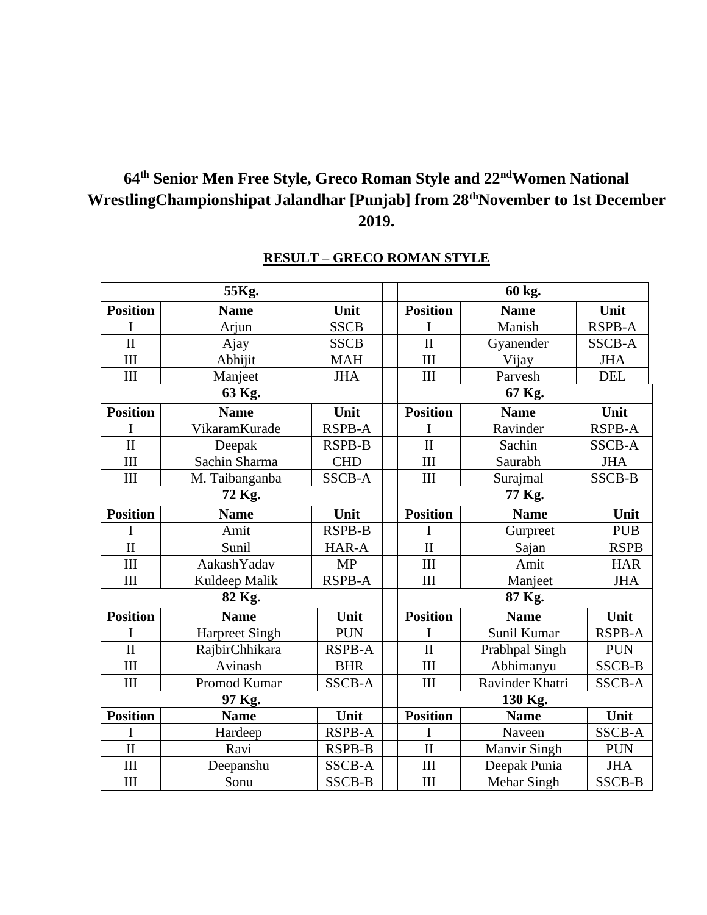## **64th Senior Men Free Style, Greco Roman Style and 22ndWomen National WrestlingChampionshipat Jalandhar [Punjab] from 28thNovember to 1st December 2019.**

|                 | 55Kg.                 | 60 kg.        |                         |                     |               |  |
|-----------------|-----------------------|---------------|-------------------------|---------------------|---------------|--|
| <b>Position</b> | <b>Name</b>           | Unit          | <b>Position</b>         | <b>Name</b>         | Unit          |  |
|                 | Arjun                 | <b>SSCB</b>   | I                       | Manish              | <b>RSPB-A</b> |  |
| $\mathbf{I}$    | Ajay                  | <b>SSCB</b>   | $\overline{\rm II}$     | Gyanender           | <b>SSCB-A</b> |  |
| III             | Abhijit               | <b>MAH</b>    | III                     | Vijay               | <b>JHA</b>    |  |
| III             | Manjeet               | <b>JHA</b>    | III                     | Parvesh             | <b>DEL</b>    |  |
|                 | 63 Kg.                |               | 67 Kg.                  |                     |               |  |
| <b>Position</b> | <b>Name</b>           | Unit          | <b>Position</b>         | <b>Name</b>         | Unit          |  |
|                 | VikaramKurade         | <b>RSPB-A</b> | I                       | Ravinder            | <b>RSPB-A</b> |  |
| $\mathbf{I}$    | Deepak                | <b>RSPB-B</b> | $\overline{\rm II}$     | Sachin              | <b>SSCB-A</b> |  |
| III             | Sachin Sharma         | <b>CHD</b>    | III                     | Saurabh             | <b>JHA</b>    |  |
| III             | M. Taibanganba        | <b>SSCB-A</b> | III                     | Surajmal            | <b>SSCB-B</b> |  |
|                 | 72 Kg.                |               | 77 Kg.                  |                     |               |  |
| <b>Position</b> | <b>Name</b>           | Unit          | <b>Position</b>         | <b>Name</b>         | Unit          |  |
| I               | Amit                  | <b>RSPB-B</b> | I                       | Gurpreet            | <b>PUB</b>    |  |
| $\mathbf{I}$    | Sunil                 | HAR-A         | $\overline{\mathbf{u}}$ | Sajan               | <b>RSPB</b>   |  |
| III             | AakashYadav           | <b>MP</b>     | III                     | Amit                | <b>HAR</b>    |  |
| III             | Kuldeep Malik         | <b>RSPB-A</b> | III                     | Manjeet             | <b>JHA</b>    |  |
|                 | 82 Kg.                |               | 87 Kg.                  |                     |               |  |
| <b>Position</b> | <b>Name</b>           | Unit          | <b>Position</b>         | <b>Name</b>         | Unit          |  |
| I               | <b>Harpreet Singh</b> | <b>PUN</b>    | I                       | Sunil Kumar         | <b>RSPB-A</b> |  |
| $\mathbf{I}$    | RajbirChhikara        | <b>RSPB-A</b> | $\mathbf{I}$            | Prabhpal Singh      | <b>PUN</b>    |  |
| III             | Avinash               | <b>BHR</b>    | III                     | Abhimanyu           | <b>SSCB-B</b> |  |
| III             | Promod Kumar          | SSCB-A        | III                     | Ravinder Khatri     | <b>SSCB-A</b> |  |
|                 | 97 Kg.                |               | 130 Kg.                 |                     |               |  |
| <b>Position</b> | <b>Name</b>           | Unit          | <b>Position</b>         | <b>Name</b>         | Unit          |  |
| I               | Hardeep               | <b>RSPB-A</b> | I                       | Naveen              | <b>SSCB-A</b> |  |
| $\mathbf{I}$    | Ravi                  | <b>RSPB-B</b> | $\mathbf{I}$            | <b>Manvir Singh</b> | <b>PUN</b>    |  |
| III             | Deepanshu             | SSCB-A        | III                     | Deepak Punia        | <b>JHA</b>    |  |
| III             | Sonu                  | <b>SSCB-B</b> | III                     | Mehar Singh         | SSCB-B        |  |

#### **RESULT – GRECO ROMAN STYLE**